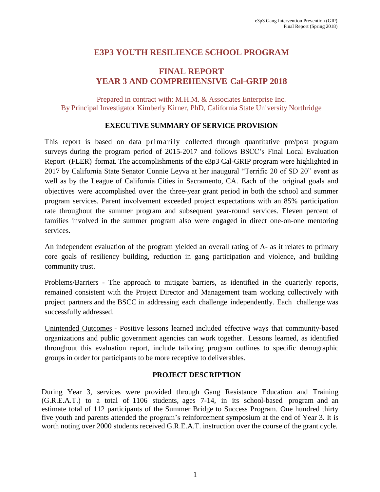# **E3P3 YOUTH RESILIENCE SCHOOL PROGRAM**

# **FINAL REPORT YEAR 3 AND COMPREHENSIVE Cal-GRIP 2018**

Prepared in contract with: M.H.M. & Associates Enterprise Inc. By Principal Investigator Kimberly Kirner, PhD, California State University Northridge

#### **EXECUTIVE SUMMARY OF SERVICE PROVISION**

This report is based on data primarily collected through quantitative pre/post program surveys during the program period of 2015-2017 and follows BSCC's Final Local Evaluation Report (FLER) format. The accomplishments of the e3p3 Cal-GRIP program were highlighted in 2017 by California State Senator Connie Leyva at her inaugural "Terrific 20 of SD 20" event as well as by the League of California Cities in Sacramento, CA. Each of the original goals and objectives were accomplished over the three-year grant period in both the school and summer program services. Parent involvement exceeded project expectations with an 85% participation rate throughout the summer program and subsequent year-round services. Eleven percent of families involved in the summer program also were engaged in direct one-on-one mentoring services.

An independent evaluation of the program yielded an overall rating of A- as it relates to primary core goals of resiliency building, reduction in gang participation and violence, and building community trust.

Problems/Barriers - The approach to mitigate barriers, as identified in the quarterly reports, remained consistent with the Project Director and Management team working collectively with project partners and the BSCC in addressing each challenge independently. Each challenge was successfully addressed.

Unintended Outcomes - Positive lessons learned included effective ways that community-based organizations and public government agencies can work together. Lessons learned, as identified throughout this evaluation report, include tailoring program outlines to specific demographic groups in order for participants to be more receptive to deliverables.

#### **PROJECT DESCRIPTION**

During Year 3, services were provided through Gang Resistance Education and Training (G.R.E.A.T.) to a total of 1106 students, ages 7-14, in its school-based program and an estimate total of 112 participants of the Summer Bridge to Success Program. One hundred thirty five youth and parents attended the program's reinforcement symposium at the end of Year 3. It is worth noting over 2000 students received G.R.E.A.T. instruction over the course of the grant cycle.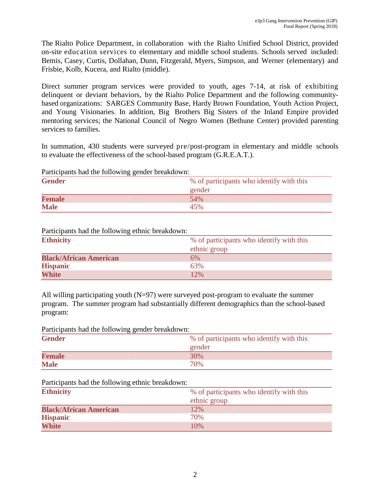The Rialto Police Department, in collaboration with the Rialto Unified School District, provided on-site education services to elementary and middle school students. Schools served included: Bemis, Casey, Curtis, Dollahan, Dunn, Fitzgerald, Myers, Simpson, and Werner (elementary) and Frisbie, Kolb, Kucera, and Rialto (middle).

Direct summer program services were provided to youth, ages 7-14, at risk of exhibiting delinquent or deviant behaviors, by the Rialto Police Department and the following communitybased organizations: SARGES Community Base, Hardy Brown Foundation, Youth Action Project, and Young Visionaries. In addition, Big Brothers Big Sisters of the Inland Empire provided mentoring services; the National Council of Negro Women (Bethune Center) provided parenting services to families.

In summation, 430 students were surveyed pre/post-program in elementary and middle schools to evaluate the effectiveness of the school-based program (G.R.E.A.T.).

Participants had the following gender breakdown:

|               | --                                       |
|---------------|------------------------------------------|
| <b>Gender</b> | % of participants who identify with this |
|               | gender                                   |
| <b>Female</b> | 54%                                      |
| <b>Male</b>   | 45%                                      |

#### Participants had the following ethnic breakdown:

| <b>Ethnicity</b>              | % of participants who identify with this |
|-------------------------------|------------------------------------------|
|                               | ethnic group                             |
| <b>Black/African American</b> | 6%                                       |
| <b>Hispanic</b>               | 63%                                      |
| <b>White</b>                  | 12%                                      |

All willing participating youth  $(N=97)$  were surveyed post-program to evaluate the summer program. The summer program had substantially different demographics than the school-based program:

Participants had the following gender breakdown:

| <b>Gender</b> | % of participants who identify with this |
|---------------|------------------------------------------|
|               | gender                                   |
| <b>Female</b> | 30%                                      |
| <b>Male</b>   | 70%                                      |

#### Participants had the following ethnic breakdown:

| <b>Ethnicity</b>              | % of participants who identify with this |
|-------------------------------|------------------------------------------|
|                               | ethnic group                             |
| <b>Black/African American</b> | 12%                                      |
| <b>Hispanic</b>               | 70%                                      |
| <b>White</b>                  | 10%                                      |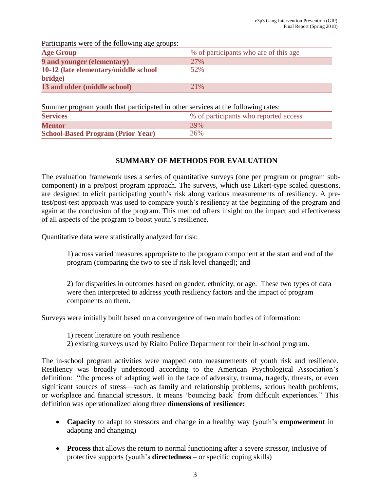Participants were of the following age groups:

| .                                    |                                       |
|--------------------------------------|---------------------------------------|
| <b>Age Group</b>                     | % of participants who are of this age |
| <b>9 and younger (elementary)</b>    | 27%                                   |
| 10-12 (late elementary/middle school | 52%                                   |
| bridge)                              |                                       |
| 13 and older (middle school)         | 21%                                   |

Summer program youth that participated in other services at the following rates:

| <b>Services</b>                          | % of participants who reported access |
|------------------------------------------|---------------------------------------|
| <b>Mentor</b>                            | 39%                                   |
| <b>School-Based Program (Prior Year)</b> | 26%                                   |

## **SUMMARY OF METHODS FOR EVALUATION**

The evaluation framework uses a series of quantitative surveys (one per program or program subcomponent) in a pre/post program approach. The surveys, which use Likert-type scaled questions, are designed to elicit participating youth's risk along various measurements of resiliency. A pretest/post-test approach was used to compare youth's resiliency at the beginning of the program and again at the conclusion of the program. This method offers insight on the impact and effectiveness of all aspects of the program to boost youth's resilience.

Quantitative data were statistically analyzed for risk:

1) across varied measures appropriate to the program component at the start and end of the program (comparing the two to see if risk level changed); and

2) for disparities in outcomes based on gender, ethnicity, or age. These two types of data were then interpreted to address youth resiliency factors and the impact of program components on them.

Surveys were initially built based on a convergence of two main bodies of information:

- 1) recent literature on youth resilience
- 2) existing surveys used by Rialto Police Department for their in-school program.

The in-school program activities were mapped onto measurements of youth risk and resilience. Resiliency was broadly understood according to the American Psychological Association's definition: "the process of adapting well in the face of adversity, trauma, tragedy, threats, or even significant sources of stress—such as family and relationship problems, serious health problems, or workplace and financial stressors. It means 'bouncing back' from difficult experiences." This definition was operationalized along three **dimensions of resilience:**

- **Capacity** to adapt to stressors and change in a healthy way (youth's **empowerment** in adapting and changing)
- **Process** that allows the return to normal functioning after a severe stressor, inclusive of protective supports (youth's **directedness** – or specific coping skills)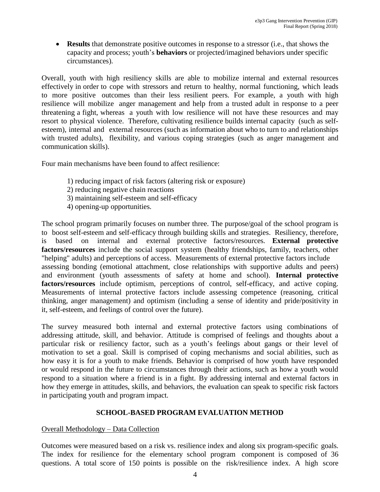**Results** that demonstrate positive outcomes in response to a stressor (i.e., that shows the capacity and process; youth's **behaviors** or projected/imagined behaviors under specific circumstances).

Overall, youth with high resiliency skills are able to mobilize internal and external resources effectively in order to cope with stressors and return to healthy, normal functioning, which leads to more positive outcomes than their less resilient peers. For example, a youth with high resilience will mobilize anger management and help from a trusted adult in response to a peer threatening a fight, whereas a youth with low resilience will not have these resources and may resort to physical violence. Therefore, cultivating resilience builds internal capacity (such as selfesteem), internal and external resources (such as information about who to turn to and relationships with trusted adults), flexibility, and various coping strategies (such as anger management and communication skills).

Four main mechanisms have been found to affect resilience:

- 1) reducing impact of risk factors (altering risk or exposure)
- 2) reducing negative chain reactions
- 3) maintaining self-esteem and self-efficacy
- 4) opening-up opportunities.

The school program primarily focuses on number three. The purpose/goal of the school program is to boost self-esteem and self-efficacy through building skills and strategies. Resiliency, therefore, is based on internal and external protective factors/resources. **External protective factors/resources** include the social support system (healthy friendships, family, teachers, other "helping" adults) and perceptions of access. Measurements of external protective factors include assessing bonding (emotional attachment, close relationships with supportive adults and peers) and environment (youth assessments of safety at home and school). **Internal protective factors/resources** include optimism, perceptions of control, self-efficacy, and active coping. Measurements of internal protective factors include assessing competence (reasoning, critical thinking, anger management) and optimism (including a sense of identity and pride/positivity in it, self-esteem, and feelings of control over the future).

The survey measured both internal and external protective factors using combinations of addressing attitude, skill, and behavior. Attitude is comprised of feelings and thoughts about a particular risk or resiliency factor, such as a youth's feelings about gangs or their level of motivation to set a goal. Skill is comprised of coping mechanisms and social abilities, such as how easy it is for a youth to make friends. Behavior is comprised of how youth have responded or would respond in the future to circumstances through their actions, such as how a youth would respond to a situation where a friend is in a fight. By addressing internal and external factors in how they emerge in attitudes, skills, and behaviors, the evaluation can speak to specific risk factors in participating youth and program impact.

#### **SCHOOL-BASED PROGRAM EVALUATION METHOD**

#### Overall Methodology – Data Collection

Outcomes were measured based on a risk vs. resilience index and along six program-specific goals. The index for resilience for the elementary school program component is composed of 36 questions. A total score of 150 points is possible on the risk/resilience index. A high score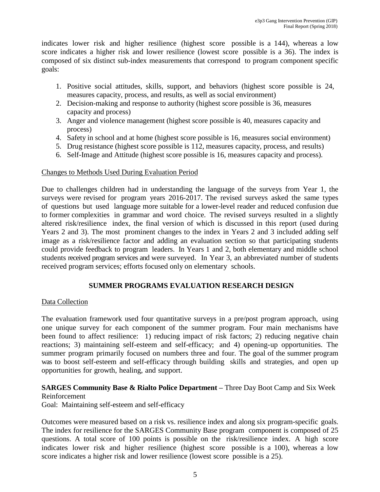indicates lower risk and higher resilience (highest score possible is a 144), whereas a low score indicates a higher risk and lower resilience (lowest score possible is a 36). The index is composed of six distinct sub-index measurements that correspond to program component specific goals:

- 1. Positive social attitudes, skills, support, and behaviors (highest score possible is 24, measures capacity, process, and results, as well as social environment)
- 2. Decision-making and response to authority (highest score possible is 36, measures capacity and process)
- 3. Anger and violence management (highest score possible is 40, measures capacity and process)
- 4. Safety in school and at home (highest score possible is 16, measures social environment)
- 5. Drug resistance (highest score possible is 112, measures capacity, process, and results)
- 6. Self-Image and Attitude (highest score possible is 16, measures capacity and process).

#### Changes to Methods Used During Evaluation Period

Due to challenges children had in understanding the language of the surveys from Year 1, the surveys were revised for program years 2016-2017. The revised surveys asked the same types of questions but used language more suitable for a lower-level reader and reduced confusion due to former complexities in grammar and word choice. The revised surveys resulted in a slightly altered risk/resilience index, the final version of which is discussed in this report (used during Years 2 and 3). The most prominent changes to the index in Years 2 and 3 included adding self image as a risk/resilience factor and adding an evaluation section so that participating students could provide feedback to program leaders. In Years 1 and 2, both elementary and middle school students received program services and were surveyed. In Year 3, an abbreviated number of students received program services; efforts focused only on elementary schools.

#### **SUMMER PROGRAMS EVALUATION RESEARCH DESIGN**

#### Data Collection

The evaluation framework used four quantitative surveys in a pre/post program approach, using one unique survey for each component of the summer program. Four main mechanisms have been found to affect resilience: 1) reducing impact of risk factors; 2) reducing negative chain reactions; 3) maintaining self-esteem and self-efficacy; and 4) opening-up opportunities. The summer program primarily focused on numbers three and four. The goal of the summer program was to boost self-esteem and self-efficacy through building skills and strategies, and open up opportunities for growth, healing, and support.

#### **SARGES Community Base & Rialto Police Department –** Three Day Boot Camp and Six Week Reinforcement

Goal: Maintaining self-esteem and self-efficacy

Outcomes were measured based on a risk vs. resilience index and along six program-specific goals. The index for resilience for the SARGES Community Base program component is composed of 25 questions. A total score of 100 points is possible on the risk/resilience index. A high score indicates lower risk and higher resilience (highest score possible is a 100), whereas a low score indicates a higher risk and lower resilience (lowest score possible is a 25).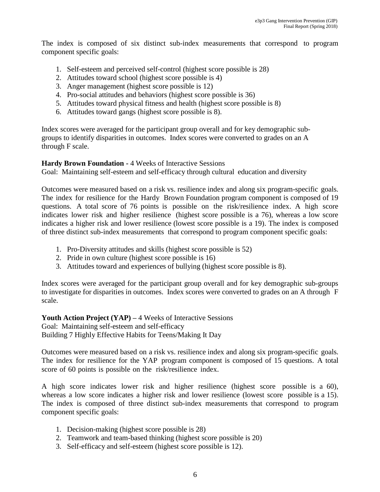The index is composed of six distinct sub-index measurements that correspond to program component specific goals:

- 1. Self-esteem and perceived self-control (highest score possible is 28)
- 2. Attitudes toward school (highest score possible is 4)
- 3. Anger management (highest score possible is 12)
- 4. Pro-social attitudes and behaviors (highest score possible is 36)
- 5. Attitudes toward physical fitness and health (highest score possible is 8)
- 6. Attitudes toward gangs (highest score possible is 8).

Index scores were averaged for the participant group overall and for key demographic subgroups to identify disparities in outcomes. Index scores were converted to grades on an A through F scale.

**Hardy Brown Foundation -** 4 Weeks of Interactive Sessions

Goal: Maintaining self-esteem and self-efficacy through cultural education and diversity

Outcomes were measured based on a risk vs. resilience index and along six program-specific goals. The index for resilience for the Hardy Brown Foundation program component is composed of 19 questions. A total score of 76 points is possible on the risk/resilience index. A high score indicates lower risk and higher resilience (highest score possible is a 76), whereas a low score indicates a higher risk and lower resilience (lowest score possible is a 19). The index is composed of three distinct sub-index measurements that correspond to program component specific goals:

- 1. Pro-Diversity attitudes and skills (highest score possible is 52)
- 2. Pride in own culture (highest score possible is 16)
- 3. Attitudes toward and experiences of bullying (highest score possible is 8).

Index scores were averaged for the participant group overall and for key demographic sub-groups to investigate for disparities in outcomes. Index scores were converted to grades on an A through F scale.

**Youth Action Project (YAP) –** 4 Weeks of Interactive Sessions Goal: Maintaining self-esteem and self-efficacy Building 7 Highly Effective Habits for Teens/Making It Day

Outcomes were measured based on a risk vs. resilience index and along six program-specific goals. The index for resilience for the YAP program component is composed of 15 questions. A total score of 60 points is possible on the risk/resilience index.

A high score indicates lower risk and higher resilience (highest score possible is a 60), whereas a low score indicates a higher risk and lower resilience (lowest score possible is a 15). The index is composed of three distinct sub-index measurements that correspond to program component specific goals:

- 1. Decision-making (highest score possible is 28)
- 2. Teamwork and team-based thinking (highest score possible is 20)
- 3. Self-efficacy and self-esteem (highest score possible is 12).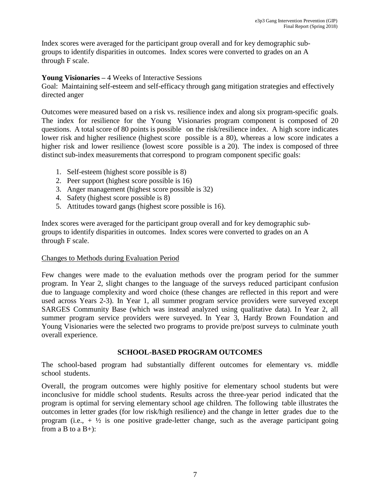Index scores were averaged for the participant group overall and for key demographic subgroups to identify disparities in outcomes. Index scores were converted to grades on an A through F scale.

### **Young Visionaries –** 4 Weeks of Interactive Sessions

Goal: Maintaining self-esteem and self-efficacy through gang mitigation strategies and effectively directed anger

Outcomes were measured based on a risk vs. resilience index and along six program-specific goals. The index for resilience for the Young Visionaries program component is composed of 20 questions. A total score of 80 points is possible on the risk/resilience index. A high score indicates lower risk and higher resilience (highest score possible is a 80), whereas a low score indicates a higher risk and lower resilience (lowest score possible is a 20). The index is composed of three distinct sub-index measurements that correspond to program component specific goals:

- 1. Self-esteem (highest score possible is 8)
- 2. Peer support (highest score possible is 16)
- 3. Anger management (highest score possible is 32)
- 4. Safety (highest score possible is 8)
- 5. Attitudes toward gangs (highest score possible is 16).

Index scores were averaged for the participant group overall and for key demographic subgroups to identify disparities in outcomes. Index scores were converted to grades on an A through F scale.

### Changes to Methods during Evaluation Period

Few changes were made to the evaluation methods over the program period for the summer program. In Year 2, slight changes to the language of the surveys reduced participant confusion due to language complexity and word choice (these changes are reflected in this report and were used across Years 2-3). In Year 1, all summer program service providers were surveyed except SARGES Community Base (which was instead analyzed using qualitative data). In Year 2, all summer program service providers were surveyed. In Year 3, Hardy Brown Foundation and Young Visionaries were the selected two programs to provide pre/post surveys to culminate youth overall experience.

## **SCHOOL-BASED PROGRAM OUTCOMES**

The school-based program had substantially different outcomes for elementary vs. middle school students.

Overall, the program outcomes were highly positive for elementary school students but were inconclusive for middle school students. Results across the three-year period indicated that the program is optimal for serving elementary school age children. The following table illustrates the outcomes in letter grades (for low risk/high resilience) and the change in letter grades due to the program (i.e.,  $+ \frac{1}{2}$  is one positive grade-letter change, such as the average participant going from a B to a  $B+$ ):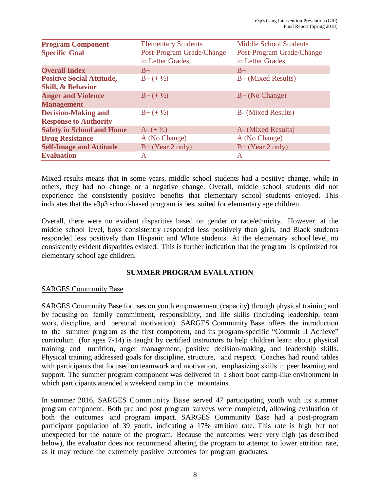| <b>Program Component</b>         | <b>Elementary Students</b> | <b>Middle School Students</b> |
|----------------------------------|----------------------------|-------------------------------|
| <b>Specific Goal</b>             | Post-Program Grade/Change  | Post-Program Grade/Change     |
|                                  | in Letter Grades           | in Letter Grades              |
| <b>Overall Index</b>             | $B+$                       | $B+$                          |
| <b>Positive Social Attitude,</b> | $B+(+1/2)$                 | B+ (Mixed Results)            |
| <b>Skill, &amp; Behavior</b>     |                            |                               |
| <b>Anger and Violence</b>        | $B+(+1/2)$                 | $B+$ (No Change)              |
| <b>Management</b>                |                            |                               |
| <b>Decision-Making and</b>       | $B+(+\frac{1}{2})$         | <b>B</b> - (Mixed Results)    |
| <b>Response to Authority</b>     |                            |                               |
| <b>Safety in School and Home</b> | $A - (+1/2)$               | A- (Mixed Results)            |
| <b>Drug Resistance</b>           | A (No Change)              | A (No Change)                 |
| <b>Self-Image and Attitude</b>   | $B+$ (Year 2 only)         | $B+$ (Year 2 only)            |
| <b>Evaluation</b>                | $A-$                       | A                             |

Mixed results means that in some years, middle school students had a positive change, while in others, they had no change or a negative change. Overall, middle school students did not experience the consistently positive benefits that elementary school students enjoyed. This indicates that the e3p3 school-based program is best suited for elementary age children.

Overall, there were no evident disparities based on gender or race/ethnicity. However, at the middle school level, boys consistently responded less positively than girls, and Black students responded less positively than Hispanic and White students. At the elementary school level, no consistently evident disparities existed. This is further indication that the program is optimized for elementary school age children.

### **SUMMER PROGRAM EVALUATION**

### SARGES Community Base

SARGES Community Base focuses on youth empowerment (capacity) through physical training and by focusing on family commitment, responsibility, and life skills (including leadership, team work, discipline, and personal motivation). SARGES Community Base offers the introduction to the summer program as the first component, and its program-specific "Commit II Achieve" curriculum (for ages 7-14) is taught by certified instructors to help children learn about physical training and nutrition, anger management, positive decision-making, and leadership skills. Physical training addressed goals for discipline, structure, and respect. Coaches had round tables with participants that focused on teamwork and motivation, emphasizing skills in peer learning and support. The summer program component was delivered in a short boot camp-like environment in which participants attended a weekend camp in the mountains.

In summer 2016, SARGES Community Base served 47 participating youth with its summer program component. Both pre and post program surveys were completed, allowing evaluation of both the outcomes and program impact. SARGES Community Base had a post-program participant population of 39 youth, indicating a 17% attrition rate. This rate is high but not unexpected for the nature of the program. Because the outcomes were very high (as described below), the evaluator does not recommend altering the program to attempt to lower attrition rate, as it may reduce the extremely positive outcomes for program graduates.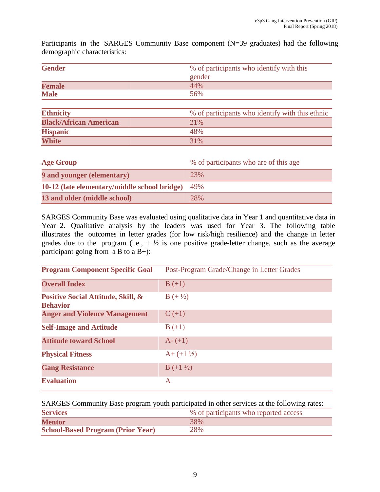| $\alpha$                      |                                                 |
|-------------------------------|-------------------------------------------------|
| <b>Gender</b>                 | % of participants who identify with this        |
|                               | gender                                          |
| <b>Female</b>                 | 44%                                             |
| <b>Male</b>                   | 56%                                             |
| <b>Ethnicity</b>              | % of participants who identify with this ethnic |
| <b>Black/African American</b> | 21%                                             |
| <b>Hispanic</b>               | 48%                                             |

Participants in the SARGES Community Base component (N=39 graduates) had the following demographic characteristics:

| <b>Age Group</b>                             | % of participants who are of this age |
|----------------------------------------------|---------------------------------------|
| <b>9 and younger (elementary)</b>            | 23%                                   |
| 10-12 (late elementary/middle school bridge) | 49%                                   |
| 13 and older (middle school)                 | 28%                                   |

**White** 31% 31%

SARGES Community Base was evaluated using qualitative data in Year 1 and quantitative data in Year 2. Qualitative analysis by the leaders was used for Year 3. The following table illustrates the outcomes in letter grades (for low risk/high resilience) and the change in letter grades due to the program (i.e.,  $+\frac{1}{2}$  is one positive grade-letter change, such as the average participant going from a B to a B+):

| <b>Program Component Specific Goal</b>                | Post-Program Grade/Change in Letter Grades |
|-------------------------------------------------------|--------------------------------------------|
| <b>Overall Index</b>                                  | $B (+1)$                                   |
| Positive Social Attitude, Skill, &<br><b>Behavior</b> | $B (+ \frac{1}{2})$                        |
| <b>Anger and Violence Management</b>                  | $C (+1)$                                   |
| <b>Self-Image and Attitude</b>                        | $B (+1)$                                   |
| <b>Attitude toward School</b>                         | $A - (+1)$                                 |
| <b>Physical Fitness</b>                               | $A + (+1\frac{1}{2})$                      |
| <b>Gang Resistance</b>                                | $B (+1 \frac{1}{2})$                       |
| <b>Evaluation</b>                                     | A                                          |

SARGES Community Base program youth participated in other services at the following rates:

| <b>Services</b>                          | % of participants who reported access |
|------------------------------------------|---------------------------------------|
| <b>Mentor</b>                            | 38%                                   |
| <b>School-Based Program (Prior Year)</b> | 28%                                   |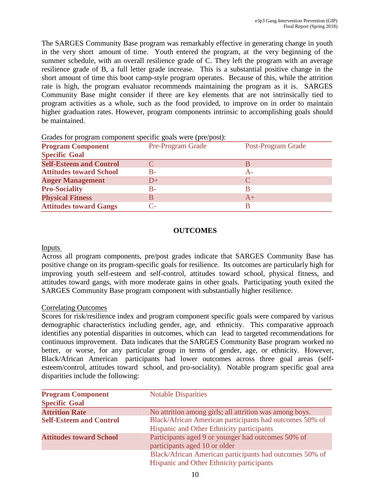The SARGES Community Base program was remarkably effective in generating change in youth in the very short amount of time. Youth entered the program, at the very beginning of the summer schedule, with an overall resilience grade of C. They left the program with an average resilience grade of B, a full letter grade increase. This is a substantial positive change in the short amount of time this boot camp-style program operates. Because of this, while the attrition rate is high, the program evaluator recommends maintaining the program as it is. SARGES Community Base might consider if there are key elements that are not intrinsically tied to program activities as a whole, such as the food provided, to improve on in order to maintain higher graduation rates. However, program components intrinsic to accomplishing goals should be maintained.

| Post-Program Grade |
|--------------------|
|                    |
|                    |
|                    |
|                    |
|                    |
|                    |
|                    |
|                    |

Grades for program component specific goals were (pre/post):

#### **OUTCOMES**

#### Inputs

Across all program components, pre/post grades indicate that SARGES Community Base has positive change on its program-specific goals for resilience. Its outcomes are particularly high for improving youth self-esteem and self-control, attitudes toward school, physical fitness, and attitudes toward gangs, with more moderate gains in other goals. Participating youth exited the SARGES Community Base program component with substantially higher resilience.

#### Correlating Outcomes

Scores for risk/resilience index and program component specific goals were compared by various demographic characteristics including gender, age, and ethnicity. This comparative approach identifies any potential disparities in outcomes, which can lead to targeted recommendations for continuous improvement. Data indicates that the SARGES Community Base program worked no better, or worse, for any particular group in terms of gender, age, or ethnicity. However, Black/African American participants had lower outcomes across three goal areas (selfesteem/control, attitudes toward school, and pro-sociality). Notable program specific goal area disparities include the following:

| <b>Program Component</b><br><b>Specific Goal</b> | <b>Notable Disparities</b>                                                                           |
|--------------------------------------------------|------------------------------------------------------------------------------------------------------|
| <b>Attrition Rate</b>                            | No attrition among girls; all attrition was among boys.                                              |
| <b>Self-Esteem and Control</b>                   | Black/African American participants had outcomes 50% of<br>Hispanic and Other Ethnicity participants |
| <b>Attitudes toward School</b>                   | Participants aged 9 or younger had outcomes 50% of<br>participants aged 10 or older                  |
|                                                  | Black/African American participants had outcomes 50% of<br>Hispanic and Other Ethnicity participants |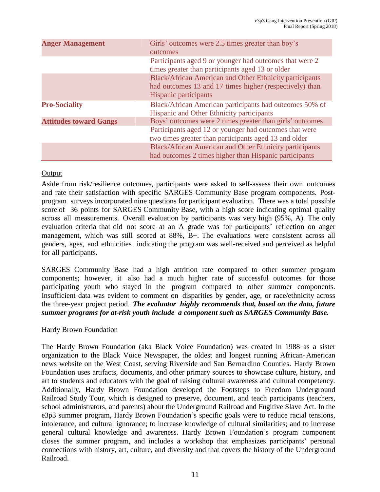| <b>Anger Management</b>       | Girls' outcomes were 2.5 times greater than boy's<br>outcomes                                                     |
|-------------------------------|-------------------------------------------------------------------------------------------------------------------|
|                               | Participants aged 9 or younger had outcomes that were 2<br>times greater than participants aged 13 or older       |
|                               | Black/African American and Other Ethnicity participants                                                           |
|                               | had outcomes 13 and 17 times higher (respectively) than                                                           |
|                               | <b>Hispanic participants</b>                                                                                      |
| <b>Pro-Sociality</b>          | Black/African American participants had outcomes 50% of<br>Hispanic and Other Ethnicity participants              |
| <b>Attitudes toward Gangs</b> | Boys' outcomes were 2 times greater than girls' outcomes                                                          |
|                               | Participants aged 12 or younger had outcomes that were<br>two times greater than participants aged 13 and older   |
|                               | Black/African American and Other Ethnicity participants<br>had outcomes 2 times higher than Hispanic participants |

### Output

Aside from risk/resilience outcomes, participants were asked to self-assess their own outcomes and rate their satisfaction with specific SARGES Community Base program components. Postprogram surveys incorporated nine questions for participant evaluation. There was a total possible score of 36 points for SARGES Community Base, with a high score indicating optimal quality across all measurements. Overall evaluation by participants was very high (95%, A). The only evaluation criteria that did not score at an A grade was for participants' reflection on anger management, which was still scored at 88%, B+. The evaluations were consistent across all genders, ages, and ethnicities indicating the program was well-received and perceived as helpful for all participants.

SARGES Community Base had a high attrition rate compared to other summer program components; however, it also had a much higher rate of successful outcomes for those participating youth who stayed in the program compared to other summer components. Insufficient data was evident to comment on disparities by gender, age, or race/ethnicity across the three-year project period. *The evaluator highly recommends that, based on the data, future summer programs for at-risk youth include a component such as SARGES Community Base.*

### Hardy Brown Foundation

The Hardy Brown Foundation (aka Black Voice Foundation) was created in 1988 as a sister organization to the Black Voice Newspaper, the oldest and longest running African-American news website on the West Coast, serving Riverside and San Bernardino Counties. Hardy Brown Foundation uses artifacts, documents, and other primary sources to showcase culture, history, and art to students and educators with the goal of raising cultural awareness and cultural competency. Additionally, Hardy Brown Foundation developed the Footsteps to Freedom Underground Railroad Study Tour, which is designed to preserve, document, and teach participants (teachers, school administrators, and parents) about the Underground Railroad and Fugitive Slave Act. In the e3p3 summer program, Hardy Brown Foundation's specific goals were to reduce racial tensions, intolerance, and cultural ignorance; to increase knowledge of cultural similarities; and to increase general cultural knowledge and awareness. Hardy Brown Foundation's program component closes the summer program, and includes a workshop that emphasizes participants' personal connections with history, art, culture, and diversity and that covers the history of the Underground Railroad.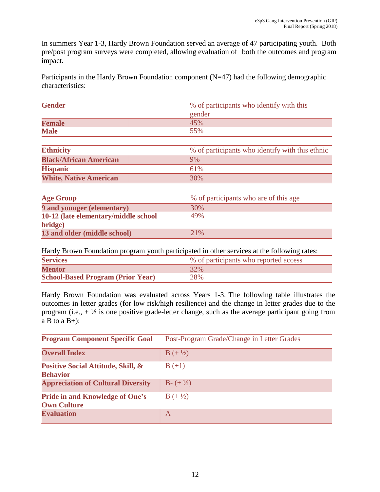In summers Year 1-3, Hardy Brown Foundation served an average of 47 participating youth. Both pre/post program surveys were completed, allowing evaluation of both the outcomes and program impact.

Participants in the Hardy Brown Foundation component  $(N=47)$  had the following demographic characteristics:

| <b>Gender</b>                 | % of participants who identify with this        |
|-------------------------------|-------------------------------------------------|
|                               | gender                                          |
| <b>Female</b>                 | 45%                                             |
| <b>Male</b>                   | 55%                                             |
|                               |                                                 |
| <b>Ethnicity</b>              | % of participants who identify with this ethnic |
| <b>Black/African American</b> | 9%                                              |
| <b>Hispanic</b>               | 61%                                             |
| <b>White, Native American</b> | 30%                                             |

| <b>Age Group</b>                     | % of participants who are of this age |
|--------------------------------------|---------------------------------------|
| <b>9 and younger (elementary)</b>    | 30%                                   |
| 10-12 (late elementary/middle school | 49%                                   |
| bridge)                              |                                       |
| 13 and older (middle school)         | $2.1\%$                               |

Hardy Brown Foundation program youth participated in other services at the following rates:

| <b>Services</b>                          | % of participants who reported access |
|------------------------------------------|---------------------------------------|
| <b>Mentor</b>                            | 32%                                   |
| <b>School-Based Program (Prior Year)</b> | 28%                                   |

Hardy Brown Foundation was evaluated across Years 1-3. The following table illustrates the outcomes in letter grades (for low risk/high resilience) and the change in letter grades due to the program (i.e.,  $+\frac{1}{2}$  is one positive grade-letter change, such as the average participant going from  $a B$  to  $a B+$ ):

| <b>Program Component Specific Goal</b>                       | Post-Program Grade/Change in Letter Grades |
|--------------------------------------------------------------|--------------------------------------------|
| <b>Overall Index</b>                                         | $B (+ \frac{1}{2})$                        |
| Positive Social Attitude, Skill, &<br><b>Behavior</b>        | $B (+1)$                                   |
| <b>Appreciation of Cultural Diversity</b>                    | $B - (+\frac{1}{2})$                       |
| <b>Pride in and Knowledge of One's</b><br><b>Own Culture</b> | $B (+ \frac{1}{2})$                        |
| <b>Evaluation</b>                                            | A                                          |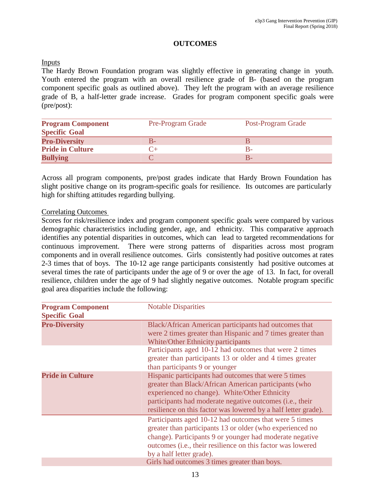### **OUTCOMES**

#### Inputs

The Hardy Brown Foundation program was slightly effective in generating change in youth. Youth entered the program with an overall resilience grade of B- (based on the program component specific goals as outlined above). They left the program with an average resilience grade of B, a half-letter grade increase. Grades for program component specific goals were (pre/post):

| <b>Program Component</b><br><b>Specific Goal</b> | <b>Pre-Program Grade</b> | Post-Program Grade |
|--------------------------------------------------|--------------------------|--------------------|
| <b>Pro-Diversity</b>                             |                          |                    |
| <b>Pride in Culture</b>                          |                          |                    |
| <b>Bullying</b>                                  |                          |                    |

Across all program components, pre/post grades indicate that Hardy Brown Foundation has slight positive change on its program-specific goals for resilience. Its outcomes are particularly high for shifting attitudes regarding bullying.

#### Correlating Outcomes

Scores for risk/resilience index and program component specific goals were compared by various demographic characteristics including gender, age, and ethnicity. This comparative approach identifies any potential disparities in outcomes, which can lead to targeted recommendations for continuous improvement. There were strong patterns of disparities across most program components and in overall resilience outcomes. Girls consistently had positive outcomes at rates 2-3 times that of boys. The 10-12 age range participants consistently had positive outcomes at several times the rate of participants under the age of 9 or over the age of 13. In fact, for overall resilience, children under the age of 9 had slightly negative outcomes. Notable program specific goal area disparities include the following:

| <b>Program Component</b><br><b>Specific Goal</b> | <b>Notable Disparities</b>                                                                                                                                                                                                                                                                   |
|--------------------------------------------------|----------------------------------------------------------------------------------------------------------------------------------------------------------------------------------------------------------------------------------------------------------------------------------------------|
| <b>Pro-Diversity</b>                             | Black/African American participants had outcomes that<br>were 2 times greater than Hispanic and 7 times greater than<br><b>White/Other Ethnicity participants</b>                                                                                                                            |
|                                                  | Participants aged 10-12 had outcomes that were 2 times<br>greater than participants 13 or older and 4 times greater<br>than participants 9 or younger                                                                                                                                        |
| <b>Pride in Culture</b>                          | Hispanic participants had outcomes that were 5 times<br>greater than Black/African American participants (who<br>experienced no change). White/Other Ethnicity<br>participants had moderate negative outcomes (i.e., their<br>resilience on this factor was lowered by a half letter grade). |
|                                                  | Participants aged 10-12 had outcomes that were 5 times<br>greater than participants 13 or older (who experienced no<br>change). Participants 9 or younger had moderate negative<br>outcomes (i.e., their resilience on this factor was lowered<br>by a half letter grade).                   |
|                                                  | Girls had outcomes 3 times greater than boys.                                                                                                                                                                                                                                                |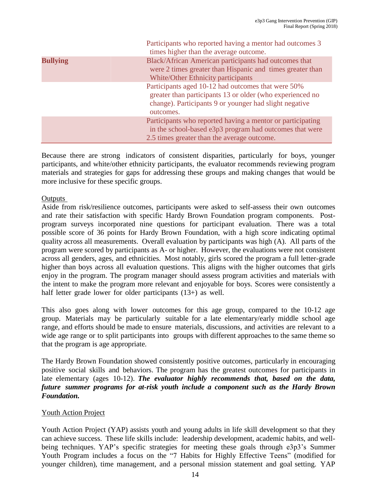|                 | Participants who reported having a mentor had outcomes 3<br>times higher than the average outcome.                                                                                     |
|-----------------|----------------------------------------------------------------------------------------------------------------------------------------------------------------------------------------|
| <b>Bullying</b> | Black/African American participants had outcomes that<br>were 2 times greater than Hispanic and times greater than<br>White/Other Ethnicity participants                               |
|                 | Participants aged 10-12 had outcomes that were 50%<br>greater than participants 13 or older (who experienced no<br>change). Participants 9 or younger had slight negative<br>outcomes. |
|                 | Participants who reported having a mentor or participating<br>in the school-based e3p3 program had outcomes that were<br>2.5 times greater than the average outcome.                   |

Because there are strong indicators of consistent disparities, particularly for boys, younger participants, and white/other ethnicity participants, the evaluator recommends reviewing program materials and strategies for gaps for addressing these groups and making changes that would be more inclusive for these specific groups.

#### **Outputs**

Aside from risk/resilience outcomes, participants were asked to self-assess their own outcomes and rate their satisfaction with specific Hardy Brown Foundation program components. Postprogram surveys incorporated nine questions for participant evaluation. There was a total possible score of 36 points for Hardy Brown Foundation, with a high score indicating optimal quality across all measurements. Overall evaluation by participants was high (A). All parts of the program were scored by participants as A- or higher. However, the evaluations were not consistent across all genders, ages, and ethnicities. Most notably, girls scored the program a full letter-grade higher than boys across all evaluation questions. This aligns with the higher outcomes that girls enjoy in the program. The program manager should assess program activities and materials with the intent to make the program more relevant and enjoyable for boys. Scores were consistently a half letter grade lower for older participants (13+) as well.

This also goes along with lower outcomes for this age group, compared to the 10-12 age group. Materials may be particularly suitable for a late elementary/early middle school age range, and efforts should be made to ensure materials, discussions, and activities are relevant to a wide age range or to split participants into groups with different approaches to the same theme so that the program is age appropriate.

The Hardy Brown Foundation showed consistently positive outcomes, particularly in encouraging positive social skills and behaviors. The program has the greatest outcomes for participants in late elementary (ages 10-12). *The evaluator highly recommends that, based on the data, future summer programs for at-risk youth include a component such as the Hardy Brown Foundation.*

#### Youth Action Project

Youth Action Project (YAP) assists youth and young adults in life skill development so that they can achieve success. These life skills include: leadership development, academic habits, and wellbeing techniques. YAP's specific strategies for meeting these goals through e3p3's Summer Youth Program includes a focus on the "7 Habits for Highly Effective Teens" (modified for younger children), time management, and a personal mission statement and goal setting. YAP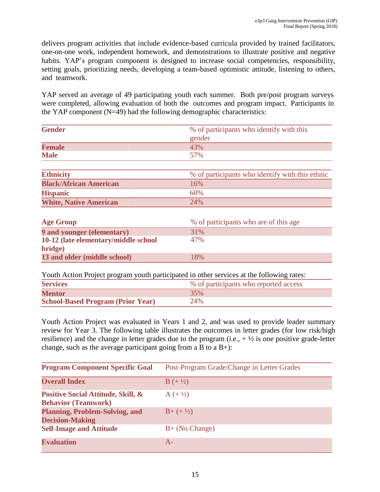delivers program activities that include evidence-based curricula provided by trained facilitators, one-on-one work, independent homework, and demonstrations to illustrate positive and negative habits. YAP's program component is designed to increase social competencies, responsibility, setting goals, prioritizing needs, developing a team-based optimistic attitude, listening to others, and teamwork.

YAP served an average of 49 participating youth each summer. Both pre/post program surveys were completed, allowing evaluation of both the outcomes and program impact. Participants in the YAP component  $(N=49)$  had the following demographic characteristics:

| <b>Gender</b>                        | % of participants who identify with this        |
|--------------------------------------|-------------------------------------------------|
|                                      | gender                                          |
| <b>Female</b>                        | 43%                                             |
| <b>Male</b>                          | 57%                                             |
|                                      |                                                 |
| <b>Ethnicity</b>                     | % of participants who identify with this ethnic |
| <b>Black/African American</b>        | 16%                                             |
| <b>Hispanic</b>                      | 60%                                             |
| <b>White, Native American</b>        | 24%                                             |
|                                      |                                                 |
| <b>Age Group</b>                     | % of participants who are of this age           |
| 9 and younger (elementary)           | 31%                                             |
| 10-12 (late elementary/middle school | 47%                                             |
| bridge)                              |                                                 |
| 13 and older (middle school)         | 18%                                             |

Youth Action Project program youth participated in other services at the following rates:

| <b>Services</b>                          | % of participants who reported access |
|------------------------------------------|---------------------------------------|
| <b>Mentor</b>                            | 35%                                   |
| <b>School-Based Program (Prior Year)</b> | 24%                                   |

Youth Action Project was evaluated in Years 1 and 2, and was used to provide leader summary review for Year 3. The following table illustrates the outcomes in letter grades (for low risk/high resilience) and the change in letter grades due to the program (i.e.,  $+\frac{1}{2}$  is one positive grade-letter change, such as the average participant going from a B to a  $B+$ ):

| <b>Program Component Specific Goal</b>                           | Post-Program Grade/Change in Letter Grades |
|------------------------------------------------------------------|--------------------------------------------|
| <b>Overall Index</b>                                             | $B (+ \frac{1}{2})$                        |
| Positive Social Attitude, Skill, &<br><b>Behavior (Teamwork)</b> | $A (+ \frac{1}{2})$                        |
| <b>Planning, Problem-Solving, and</b><br><b>Decision-Making</b>  | $B+(+\frac{1}{2})$                         |
| <b>Self-Image and Attitude</b>                                   | $B+$ (No Change)                           |
| <b>Evaluation</b>                                                | $A-$                                       |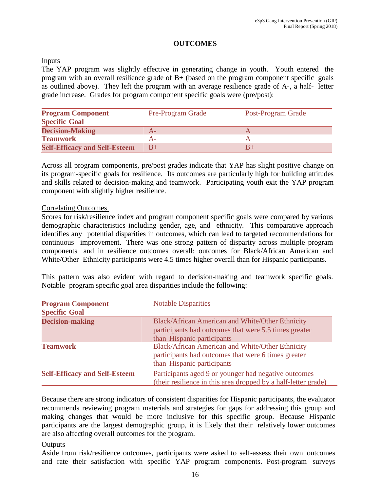### **OUTCOMES**

### Inputs

The YAP program was slightly effective in generating change in youth. Youth entered the program with an overall resilience grade of B+ (based on the program component specific goals as outlined above). They left the program with an average resilience grade of A-, a half- letter grade increase. Grades for program component specific goals were (pre/post):

| <b>Program Component</b>             | <b>Pre-Program Grade</b> | Post-Program Grade |
|--------------------------------------|--------------------------|--------------------|
| <b>Specific Goal</b>                 |                          |                    |
| <b>Decision-Making</b>               |                          |                    |
| <b>Teamwork</b>                      |                          |                    |
| <b>Self-Efficacy and Self-Esteem</b> | $B+$                     |                    |

Across all program components, pre/post grades indicate that YAP has slight positive change on its program-specific goals for resilience. Its outcomes are particularly high for building attitudes and skills related to decision-making and teamwork. Participating youth exit the YAP program component with slightly higher resilience.

#### Correlating Outcomes

Scores for risk/resilience index and program component specific goals were compared by various demographic characteristics including gender, age, and ethnicity. This comparative approach identifies any potential disparities in outcomes, which can lead to targeted recommendations for continuous improvement. There was one strong pattern of disparity across multiple program components and in resilience outcomes overall: outcomes for Black/African American and White/Other Ethnicity participants were 4.5 times higher overall than for Hispanic participants.

This pattern was also evident with regard to decision-making and teamwork specific goals. Notable program specific goal area disparities include the following:

| <b>Program Component</b><br><b>Specific Goal</b> | <b>Notable Disparities</b>                                                                                                              |
|--------------------------------------------------|-----------------------------------------------------------------------------------------------------------------------------------------|
| <b>Decision-making</b>                           | Black/African American and White/Other Ethnicity<br>participants had outcomes that were 5.5 times greater<br>than Hispanic participants |
| <b>Teamwork</b>                                  | Black/African American and White/Other Ethnicity<br>participants had outcomes that were 6 times greater<br>than Hispanic participants   |
| <b>Self-Efficacy and Self-Esteem</b>             | Participants aged 9 or younger had negative outcomes<br>(their resilience in this area dropped by a half-letter grade)                  |

Because there are strong indicators of consistent disparities for Hispanic participants, the evaluator recommends reviewing program materials and strategies for gaps for addressing this group and making changes that would be more inclusive for this specific group. Because Hispanic participants are the largest demographic group, it is likely that their relatively lower outcomes are also affecting overall outcomes for the program.

#### **Outputs**

Aside from risk/resilience outcomes, participants were asked to self-assess their own outcomes and rate their satisfaction with specific YAP program components. Post-program surveys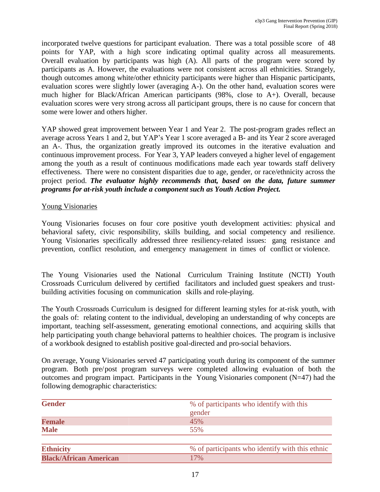incorporated twelve questions for participant evaluation. There was a total possible score of 48 points for YAP, with a high score indicating optimal quality across all measurements. Overall evaluation by participants was high (A). All parts of the program were scored by participants as A. However, the evaluations were not consistent across all ethnicities. Strangely, though outcomes among white/other ethnicity participants were higher than Hispanic participants, evaluation scores were slightly lower (averaging A-). On the other hand, evaluation scores were much higher for Black/African American participants (98%, close to A+). Overall, because evaluation scores were very strong across all participant groups, there is no cause for concern that some were lower and others higher.

YAP showed great improvement between Year 1 and Year 2. The post-program grades reflect an average across Years 1 and 2, but YAP's Year 1 score averaged a B- and its Year 2 score averaged an A-. Thus, the organization greatly improved its outcomes in the iterative evaluation and continuous improvement process. For Year 3, YAP leaders conveyed a higher level of engagement among the youth as a result of continuous modifications made each year towards staff delivery effectiveness. There were no consistent disparities due to age, gender, or race/ethnicity across the project period. *The evaluator highly recommends that, based on the data, future summer programs for at-risk youth include a component such as Youth Action Project.*

#### Young Visionaries

Young Visionaries focuses on four core positive youth development activities: physical and behavioral safety, civic responsibility, skills building, and social competency and resilience. Young Visionaries specifically addressed three resiliency-related issues: gang resistance and prevention, conflict resolution, and emergency management in times of conflict or violence.

The Young Visionaries used the National Curriculum Training Institute (NCTI) Youth Crossroads Curriculum delivered by certified facilitators and included guest speakers and trustbuilding activities focusing on communication skills and role-playing.

The Youth Crossroads Curriculum is designed for different learning styles for at-risk youth, with the goals of: relating content to the individual, developing an understanding of why concepts are important, teaching self-assessment, generating emotional connections, and acquiring skills that help participating youth change behavioral patterns to healthier choices. The program is inclusive of a workbook designed to establish positive goal-directed and pro-social behaviors.

On average, Young Visionaries served 47 participating youth during its component of the summer program. Both pre/post program surveys were completed allowing evaluation of both the outcomes and program impact. Participants in the Young Visionaries component (N=47) had the following demographic characteristics:

| <b>Gender</b>                 | % of participants who identify with this<br>gender |
|-------------------------------|----------------------------------------------------|
| <b>Female</b>                 | 45%                                                |
| <b>Male</b>                   | 55%                                                |
|                               |                                                    |
| <b>Ethnicity</b>              | % of participants who identify with this ethnic    |
| <b>Black/African American</b> | 17%                                                |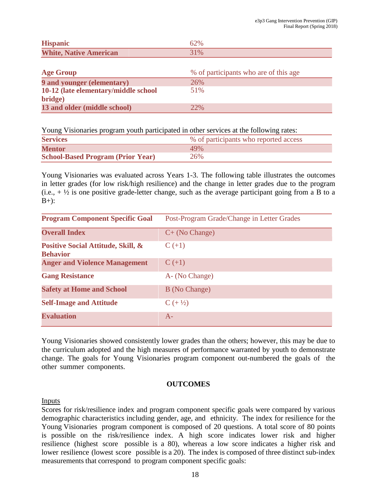| <b>Hispanic</b>               | 62% |
|-------------------------------|-----|
| <b>White, Native American</b> | 31% |

| <b>Age Group</b>                      | % of participants who are of this age |
|---------------------------------------|---------------------------------------|
| <b>9 and younger (elementary)</b>     | 26%                                   |
| 10-12 (late elementary/middle school) | 51%                                   |
| bridge)                               |                                       |
| 13 and older (middle school)          | 22%                                   |

Young Visionaries program youth participated in other services at the following rates:

| <b>Services</b>                          | % of participants who reported access |
|------------------------------------------|---------------------------------------|
| <b>Mentor</b>                            | 49%                                   |
| <b>School-Based Program (Prior Year)</b> | 26%                                   |

Young Visionaries was evaluated across Years 1-3. The following table illustrates the outcomes in letter grades (for low risk/high resilience) and the change in letter grades due to the program  $(i.e., +\frac{1}{2})$  is one positive grade-letter change, such as the average participant going from a B to a  $B+$ :

| <b>Program Component Specific Goal</b>                | Post-Program Grade/Change in Letter Grades |
|-------------------------------------------------------|--------------------------------------------|
| <b>Overall Index</b>                                  | $C+$ (No Change)                           |
| Positive Social Attitude, Skill, &<br><b>Behavior</b> | $C (+1)$                                   |
| <b>Anger and Violence Management</b>                  | $C (+1)$                                   |
| <b>Gang Resistance</b>                                | A- (No Change)                             |
| <b>Safety at Home and School</b>                      | B (No Change)                              |
| <b>Self-Image and Attitude</b>                        | $C (+ \frac{1}{2})$                        |
| <b>Evaluation</b>                                     | $A-$                                       |

Young Visionaries showed consistently lower grades than the others; however, this may be due to the curriculum adopted and the high measures of performance warranted by youth to demonstrate change. The goals for Young Visionaries program component out-numbered the goals of the other summer components.

#### **OUTCOMES**

Inputs

Scores for risk/resilience index and program component specific goals were compared by various demographic characteristics including gender, age, and ethnicity. The index for resilience for the Young Visionaries program component is composed of 20 questions. A total score of 80 points is possible on the risk/resilience index. A high score indicates lower risk and higher resilience (highest score possible is a 80), whereas a low score indicates a higher risk and lower resilience (lowest score possible is a 20). The index is composed of three distinct sub-index measurements that correspond to program component specific goals: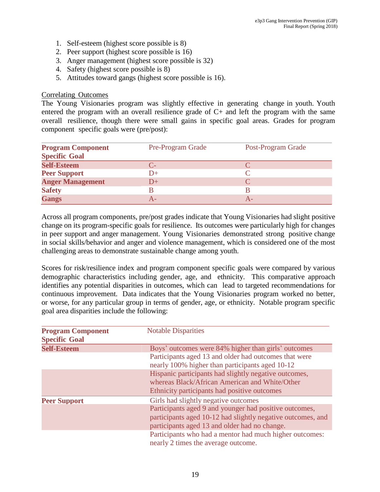- 1. Self-esteem (highest score possible is 8)
- 2. Peer support (highest score possible is 16)
- 3. Anger management (highest score possible is 32)
- 4. Safety (highest score possible is 8)
- 5. Attitudes toward gangs (highest score possible is 16).

#### Correlating Outcomes

The Young Visionaries program was slightly effective in generating change in youth. Youth entered the program with an overall resilience grade of C+ and left the program with the same overall resilience, though there were small gains in specific goal areas. Grades for program component specific goals were (pre/post):

| <b>Program Component</b><br><b>Specific Goal</b> | <b>Pre-Program Grade</b> | Post-Program Grade |
|--------------------------------------------------|--------------------------|--------------------|
| <b>Self-Esteem</b>                               | $C_{\Xi}$                |                    |
| <b>Peer Support</b>                              | $D+$                     |                    |
| <b>Anger Management</b>                          | $D+$                     |                    |
| <b>Safety</b>                                    |                          |                    |
| <b>Gangs</b>                                     | А-                       |                    |

Across all program components, pre/post grades indicate that Young Visionaries had slight positive change on its program-specific goals for resilience. Its outcomes were particularly high for changes in peer support and anger management. Young Visionaries demonstrated strong positive change in social skills/behavior and anger and violence management, which is considered one of the most challenging areas to demonstrate sustainable change among youth.

Scores for risk/resilience index and program component specific goals were compared by various demographic characteristics including gender, age, and ethnicity. This comparative approach identifies any potential disparities in outcomes, which can lead to targeted recommendations for continuous improvement. Data indicates that the Young Visionaries program worked no better, or worse, for any particular group in terms of gender, age, or ethnicity. Notable program specific goal area disparities include the following:

| <b>Program Component</b><br><b>Specific Goal</b> | <b>Notable Disparities</b>                                                                               |
|--------------------------------------------------|----------------------------------------------------------------------------------------------------------|
| <b>Self-Esteem</b>                               | Boys' outcomes were 84% higher than girls' outcomes                                                      |
|                                                  | Participants aged 13 and older had outcomes that were<br>nearly 100% higher than participants aged 10-12 |
|                                                  | Hispanic participants had slightly negative outcomes,                                                    |
|                                                  | whereas Black/African American and White/Other                                                           |
|                                                  | Ethnicity participants had positive outcomes                                                             |
| <b>Peer Support</b>                              | Girls had slightly negative outcomes                                                                     |
|                                                  | Participants aged 9 and younger had positive outcomes,                                                   |
|                                                  | participants aged 10-12 had slightly negative outcomes, and                                              |
|                                                  | participants aged 13 and older had no change.                                                            |
|                                                  | Participants who had a mentor had much higher outcomes:                                                  |
|                                                  | nearly 2 times the average outcome.                                                                      |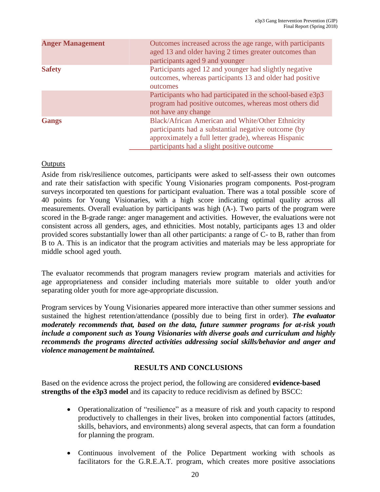| <b>Anger Management</b> | Outcomes increased across the age range, with participants<br>aged 13 and older having 2 times greater outcomes than<br>participants aged 9 and younger                                                       |
|-------------------------|---------------------------------------------------------------------------------------------------------------------------------------------------------------------------------------------------------------|
| <b>Safety</b>           | Participants aged 12 and younger had slightly negative<br>outcomes, whereas participants 13 and older had positive<br>outcomes                                                                                |
|                         | Participants who had participated in the school-based e3p3<br>program had positive outcomes, whereas most others did<br>not have any change                                                                   |
| Gangs                   | Black/African American and White/Other Ethnicity<br>participants had a substantial negative outcome (by<br>approximately a full letter grade), whereas Hispanic<br>participants had a slight positive outcome |

### **Outputs**

Aside from risk/resilience outcomes, participants were asked to self-assess their own outcomes and rate their satisfaction with specific Young Visionaries program components. Post-program surveys incorporated ten questions for participant evaluation. There was a total possible score of 40 points for Young Visionaries, with a high score indicating optimal quality across all measurements. Overall evaluation by participants was high (A-). Two parts of the program were scored in the B-grade range: anger management and activities. However, the evaluations were not consistent across all genders, ages, and ethnicities. Most notably, participants ages 13 and older provided scores substantially lower than all other participants: a range of C- to B, rather than from B to A. This is an indicator that the program activities and materials may be less appropriate for middle school aged youth.

The evaluator recommends that program managers review program materials and activities for age appropriateness and consider including materials more suitable to older youth and/or separating older youth for more age-appropriate discussion.

Program services by Young Visionaries appeared more interactive than other summer sessions and sustained the highest retention/attendance (possibly due to being first in order). *The evaluator moderately recommends that, based on the data, future summer programs for at-risk youth include a component such as Young Visionaries with diverse goals and curriculum and highly recommends the programs directed activities addressing social skills/behavior and anger and violence management be maintained.*

### **RESULTS AND CONCLUSIONS**

Based on the evidence across the project period, the following are considered **evidence-based strengths of the e3p3 model** and its capacity to reduce recidivism as defined by BSCC:

- Operationalization of "resilience" as a measure of risk and youth capacity to respond productively to challenges in their lives, broken into componential factors (attitudes, skills, behaviors, and environments) along several aspects, that can form a foundation for planning the program.
- Continuous involvement of the Police Department working with schools as facilitators for the G.R.E.A.T. program, which creates more positive associations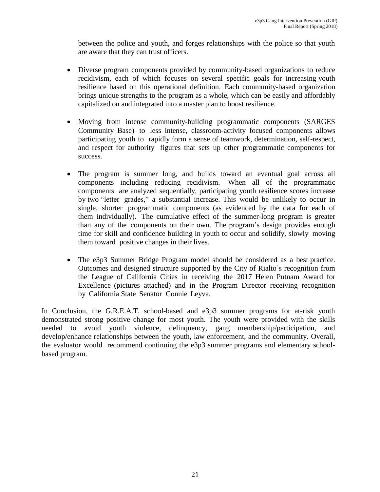between the police and youth, and forges relationships with the police so that youth are aware that they can trust officers.

- Diverse program components provided by community-based organizations to reduce recidivism, each of which focuses on several specific goals for increasing youth resilience based on this operational definition. Each community-based organization brings unique strengths to the program as a whole, which can be easily and affordably capitalized on and integrated into a master plan to boost resilience.
- Moving from intense community-building programmatic components (SARGES Community Base) to less intense, classroom-activity focused components allows participating youth to rapidly form a sense of teamwork, determination, self-respect, and respect for authority figures that sets up other programmatic components for success.
- The program is summer long, and builds toward an eventual goal across all components including reducing recidivism. When all of the programmatic components are analyzed sequentially, participating youth resilience scores increase by two "letter grades," a substantial increase. This would be unlikely to occur in single, shorter programmatic components (as evidenced by the data for each of them individually). The cumulative effect of the summer-long program is greater than any of the components on their own. The program's design provides enough time for skill and confidence building in youth to occur and solidify, slowly moving them toward positive changes in their lives.
- The e3p3 Summer Bridge Program model should be considered as a best practice. Outcomes and designed structure supported by the City of Rialto's recognition from the League of California Cities in receiving the 2017 Helen Putnam Award for Excellence (pictures attached) and in the Program Director receiving recognition by California State Senator Connie Leyva.

In Conclusion, the G.R.E.A.T. school-based and e3p3 summer programs for at-risk youth demonstrated strong positive change for most youth. The youth were provided with the skills needed to avoid youth violence, delinquency, gang membership/participation, and develop/enhance relationships between the youth, law enforcement, and the community. Overall, the evaluator would recommend continuing the e3p3 summer programs and elementary schoolbased program.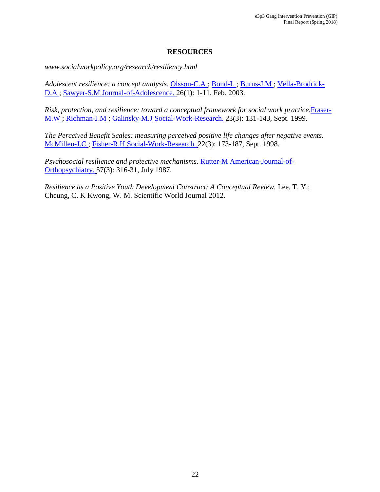### **RESOURCES**

*[www.socialworkpolicy.org/research/resiliency.html](http://www.socialworkpolicy.org/research/resiliency.html)*

*Adolescent resilience: a concept analysis.* Olsson-C.A ; Bond-L ; Burns-J.M ; Vella-Brodrick-D.A ; Sawyer-S.M Journal-of-Adolescence. 26(1): 1-11, Feb. 2003.

*Risk, protection, and resilience: toward a conceptual framework for social work practice.*Fraser-M.W ; Richman-J.M ; Galinsky-M.J Social-Work-Research. 23(3): 131-143, Sept. 1999.

*The Perceived Benefit Scales: measuring perceived positive life changes after negative events.* McMillen-J.C ; Fisher-R.H Social-Work-Research. 22(3): 173-187, Sept. 1998.

*Psychosocial resilience and protective mechanisms.* Rutter-M American-Journal-of-Orthopsychiatry. 57(3): 316-31, July 1987.

*Resilience as a Positive Youth Development Construct: A Conceptual Review.* Lee, T. Y.; Cheung, C. K Kwong, W. M. Scientific World Journal 2012.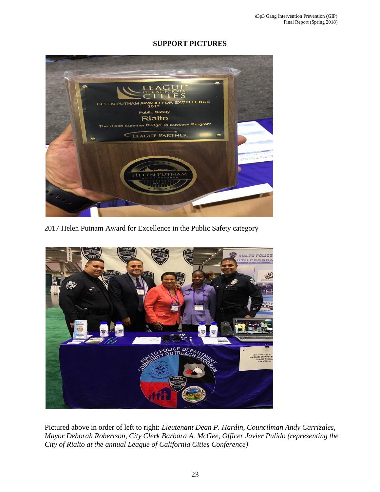### **SUPPORT PICTURES**



2017 Helen Putnam Award for Excellence in the Public Safety category



Pictured above in order of left to right: *Lieutenant Dean P. Hardin, Councilman Andy Carrizales, Mayor Deborah Robertson, City Clerk Barbara A. McGee, Officer Javier Pulido (representing the City of Rialto at the annual League of California Cities Conference)*